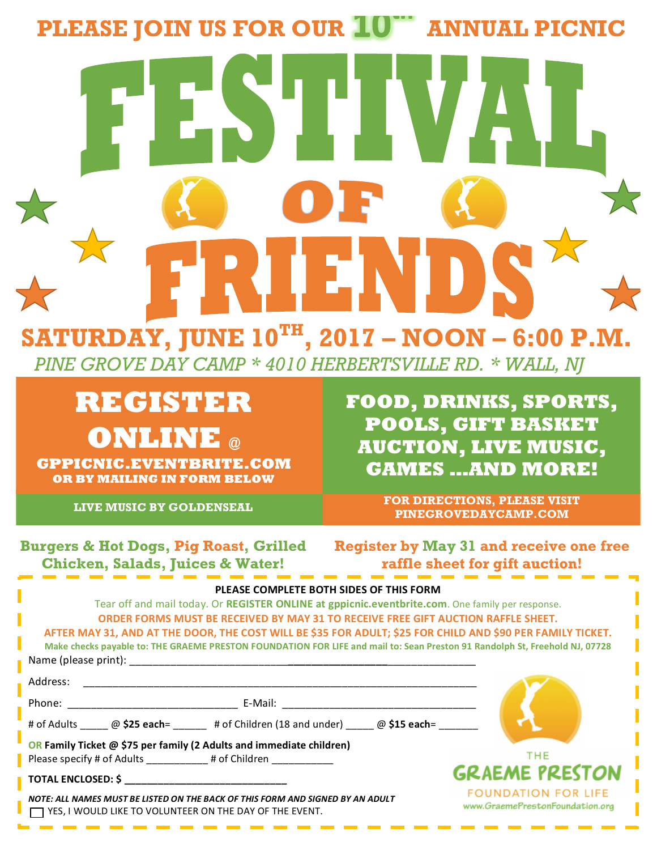## **PLEASE JOIN US FOR OUR 10<sup>TH</sup> ANNUAL PICNIC**

## **SATURDAY, JUNE 10TH, 2017 – NOON – 6:00 P.M.**

 *PINE GROVE DAY CAMP \* 4010 HERBERTSVILLE RD. \* WALL, NJ*

**REGISTER ONLINE @** 

**GPPICNIC.EVENTBRITE.COM OR BY MAILING IN FORM BELOW**

**LIVE MUSIC BY GOLDENSEAL**

**FOOD, DRINKS, SPORTS, POOLS, GIFT BASKET AUCTION, LIVE MUSIC, GAMES …AND MORE!**

> **FOR DIRECTIONS, PLEASE VISIT PINEGROVEDAYCAMP.COM**

**Burgers & Hot Dogs, Pig Roast, Grilled Chicken, Salads, Juices & Water!**

**Register by May 31 and receive one free raffle sheet for gift auction!**

**RAIN OR SHINE**

| PLEASE COMPLETE BOTH SIDES OF THIS FORM                                                                                     |                                                                                                                     |  |                            |
|-----------------------------------------------------------------------------------------------------------------------------|---------------------------------------------------------------------------------------------------------------------|--|----------------------------|
| Tear off and mail today. Or REGISTER ONLINE at gppicnic.eventbrite.com. One family per response.                            |                                                                                                                     |  |                            |
| ORDER FORMS MUST BE RECEIVED BY MAY 31 TO RECEIVE FREE GIFT AUCTION RAFFLE SHEET.                                           |                                                                                                                     |  |                            |
| AFTER MAY 31, AND AT THE DOOR, THE COST WILL BE \$35 FOR ADULT; \$25 FOR CHILD AND \$90 PER FAMILY TICKET.                  |                                                                                                                     |  |                            |
| Make checks payable to: THE GRAEME PRESTON FOUNDATION FOR LIFE and mail to: Sean Preston 91 Randolph St, Freehold NJ, 07728 |                                                                                                                     |  |                            |
|                                                                                                                             |                                                                                                                     |  |                            |
| Address:                                                                                                                    | <u> 1989 - John Stone, Amerikaans en beskriuw fan de Fryske kommunister fan de Fryske kommunister fan de Fryske</u> |  |                            |
|                                                                                                                             |                                                                                                                     |  |                            |
|                                                                                                                             | # of Adults _____ @ \$25 each= _____ # of Children (18 and under) ____ @ \$15 each= ______                          |  |                            |
| <b>OR Family Ticket @ \$75 per family (2 Adults and immediate children)</b>                                                 |                                                                                                                     |  |                            |
| Please specify # of Adults # of Children                                                                                    |                                                                                                                     |  | <b>THE</b>                 |
| TOTAL ENCLOSED: \$ __________________________________                                                                       |                                                                                                                     |  | <b>GRAEME PRESTON</b>      |
|                                                                                                                             |                                                                                                                     |  | <b>FOUNDATION FOR LIFE</b> |

*NOTE: ALL NAMES MUST BE LISTED ON THE BACK OF THIS FORM AND SIGNED BY AN ADULT* YES, I WOULD LIKE TO VOLUNTEER ON THE DAY OF THE EVENT.